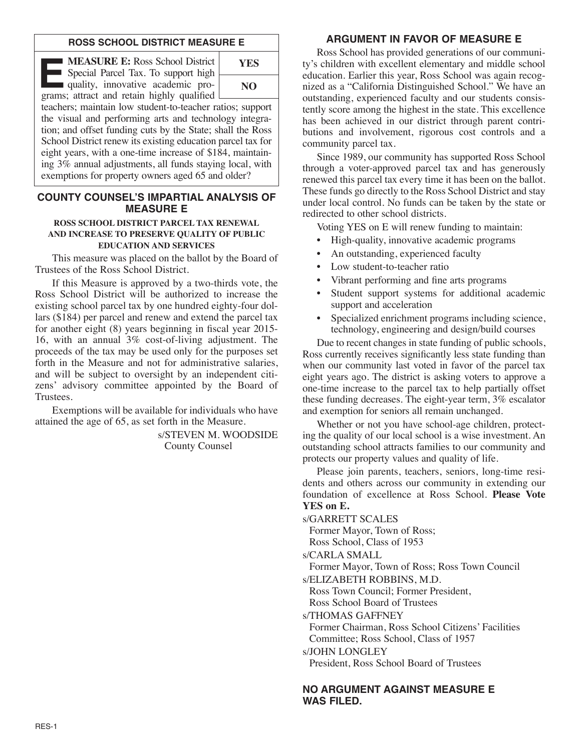## **ROSS SCHOOL DISTRICT MEASURE E**

**EXECURE E:** Ross School District<br>Special Parcel Tax. To support high<br>quality, innovative academic pro-<br>grams: attract and ratain highly qualified Special Parcel Tax. To support high quality, innovative academic programs; attract and retain highly qualified



teachers; maintain low student-to-teacher ratios; support the visual and performing arts and technology integration; and offset funding cuts by the State; shall the Ross School District renew its existing education parcel tax for eight years, with a one-time increase of \$184, maintaining 3% annual adjustments, all funds staying local, with exemptions for property owners aged 65 and older?

## **COUNTY COUNSEL'S IMPARTIAL ANALYSIS OF MEASURE E**

#### **ROSS SCHOOL DISTRICT PARCEL TAX RENEWAL AND INCREASE TO PRESERVE QUALITY OF PUBLIC EDUCATION AND SERVICES**

This measure was placed on the ballot by the Board of Trustees of the Ross School District.

If this Measure is approved by a two-thirds vote, the Ross School District will be authorized to increase the existing school parcel tax by one hundred eighty-four dollars (\$184) per parcel and renew and extend the parcel tax for another eight (8) years beginning in fiscal year 2015- 16, with an annual 3% cost-of-living adjustment. The proceeds of the tax may be used only for the purposes set forth in the Measure and not for administrative salaries, and will be subject to oversight by an independent citizens' advisory committee appointed by the Board of Trustees.

Exemptions will be available for individuals who have attained the age of 65, as set forth in the Measure.

> s/STEVEN M. WOODSIDE County Counsel

# **ARGUMENT IN FAVOR OF MEASURE E**

Ross School has provided generations of our community's children with excellent elementary and middle school education. Earlier this year, Ross School was again recognized as a "California Distinguished School." We have an outstanding, experienced faculty and our students consistently score among the highest in the state. This excellence has been achieved in our district through parent contributions and involvement, rigorous cost controls and a community parcel tax.

Since 1989, our community has supported Ross School through a voter-approved parcel tax and has generously renewed this parcel tax every time it has been on the ballot. These funds go directly to the Ross School District and stay under local control. No funds can be taken by the state or redirected to other school districts.

Voting YES on E will renew funding to maintain:

- High-quality, innovative academic programs
- An outstanding, experienced faculty
- Low student-to-teacher ratio
- Vibrant performing and fine arts programs
- Student support systems for additional academic support and acceleration
- Specialized enrichment programs including science, technology, engineering and design/build courses

Due to recent changes in state funding of public schools, Ross currently receives significantly less state funding than when our community last voted in favor of the parcel tax eight years ago. The district is asking voters to approve a one-time increase to the parcel tax to help partially offset these funding decreases. The eight-year term, 3% escalator and exemption for seniors all remain unchanged.

Whether or not you have school-age children, protecting the quality of our local school is a wise investment. An outstanding school attracts families to our community and protects our property values and quality of life.

Please join parents, teachers, seniors, long-time residents and others across our community in extending our foundation of excellence at Ross School. **Please Vote YES on E.**

s/GARRETT SCALES

Former Mayor, Town of Ross; Ross School, Class of 1953

Former Mayor, Town of Ross; Ross Town Council

s/ELIZABETH ROBBINS, M.D.

Ross Town Council; Former President,

Ross School Board of Trustees

s/THOMAS GAFFNEY

Former Chairman, Ross School Citizens' Facilities Committee; Ross School, Class of 1957

s/JOHN LONGLEY

President, Ross School Board of Trustees

**NO ARGUMENT AGAINST MEASURE E WAS FILED.**

s/CARLA SMALL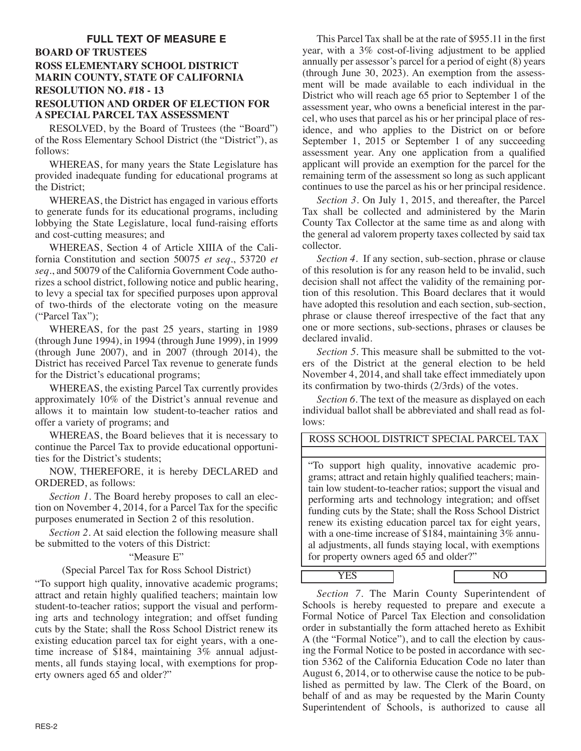# **FULL TEXT OF MEASURE E BOARD OF TRUSTEES ROSS ELEMENTARY SCHOOL DISTRICT MARIN COUNTY, STATE OF CALIFORNIA RESOLUTION NO. #18 - 13 RESOLUTION AND ORDER OF ELECTION FOR A SPECIAL PARCEL TAX ASSESSMENT**

RESOLVED, by the Board of Trustees (the "Board") of the Ross Elementary School District (the "District"), as follows:

WHEREAS, for many years the State Legislature has provided inadequate funding for educational programs at the District;

WHEREAS, the District has engaged in various efforts to generate funds for its educational programs, including lobbying the State Legislature, local fund-raising efforts and cost-cutting measures; and

WHEREAS, Section 4 of Article XIIIA of the California Constitution and section 50075 *et seq*., 53720 *et seq*., and 50079 of the California Government Code authorizes a school district, following notice and public hearing, to levy a special tax for specified purposes upon approval of two-thirds of the electorate voting on the measure ("Parcel Tax");

WHEREAS, for the past 25 years, starting in 1989 (through June 1994), in 1994 (through June 1999), in 1999 (through June 2007), and in 2007 (through 2014), the District has received Parcel Tax revenue to generate funds for the District's educational programs;

WHEREAS, the existing Parcel Tax currently provides approximately 10% of the District's annual revenue and allows it to maintain low student-to-teacher ratios and offer a variety of programs; and

WHEREAS, the Board believes that it is necessary to continue the Parcel Tax to provide educational opportunities for the District's students;

NOW, THEREFORE, it is hereby DECLARED and ORDERED, as follows:

*Section 1.* The Board hereby proposes to call an election on November 4, 2014, for a Parcel Tax for the specific purposes enumerated in Section 2 of this resolution.

*Section 2.* At said election the following measure shall be submitted to the voters of this District:

## "Measure E"

## (Special Parcel Tax for Ross School District)

"To support high quality, innovative academic programs; attract and retain highly qualified teachers; maintain low student-to-teacher ratios; support the visual and performing arts and technology integration; and offset funding cuts by the State; shall the Ross School District renew its existing education parcel tax for eight years, with a onetime increase of  $$184$ , maintaining  $3\%$  annual adjustments, all funds staying local, with exemptions for property owners aged 65 and older?"

This Parcel Tax shall be at the rate of \$955.11 in the first year, with a 3% cost-of-living adjustment to be applied annually per assessor's parcel for a period of eight (8) years (through June 30, 2023). An exemption from the assessment will be made available to each individual in the District who will reach age 65 prior to September 1 of the assessment year, who owns a beneficial interest in the parcel, who uses that parcel as his or her principal place of residence, and who applies to the District on or before September 1, 2015 or September 1 of any succeeding assessment year. Any one application from a qualified applicant will provide an exemption for the parcel for the remaining term of the assessment so long as such applicant continues to use the parcel as his or her principal residence.

*Section 3*. On July 1, 2015, and thereafter, the Parcel Tax shall be collected and administered by the Marin County Tax Collector at the same time as and along with the general ad valorem property taxes collected by said tax collector.

*Section 4*. If any section, sub-section, phrase or clause of this resolution is for any reason held to be invalid, such decision shall not affect the validity of the remaining portion of this resolution. This Board declares that it would have adopted this resolution and each section, sub-section, phrase or clause thereof irrespective of the fact that any one or more sections, sub-sections, phrases or clauses be declared invalid.

*Section 5.* This measure shall be submitted to the voters of the District at the general election to be held November 4, 2014, and shall take effect immediately upon its confirmation by two-thirds (2/3rds) of the votes.

*Section 6.* The text of the measure as displayed on each individual ballot shall be abbreviated and shall read as follows:

# ROSS SCHOOL DISTRICT SPECIAL PARCEL TAX

"To support high quality, innovative academic programs; attract and retain highly qualified teachers; maintain low student-to-teacher ratios; support the visual and performing arts and technology integration; and offset funding cuts by the State; shall the Ross School District renew its existing education parcel tax for eight years, with a one-time increase of \$184, maintaining 3% annual adjustments, all funds staying local, with exemptions for property owners aged 65 and older?"

YES NO

*Section 7.* The Marin County Superintendent of Schools is hereby requested to prepare and execute a Formal Notice of Parcel Tax Election and consolidation order in substantially the form attached hereto as Exhibit A (the "Formal Notice"), and to call the election by causing the Formal Notice to be posted in accordance with section 5362 of the California Education Code no later than August 6, 2014, or to otherwise cause the notice to be published as permitted by law. The Clerk of the Board, on behalf of and as may be requested by the Marin County Superintendent of Schools, is authorized to cause all